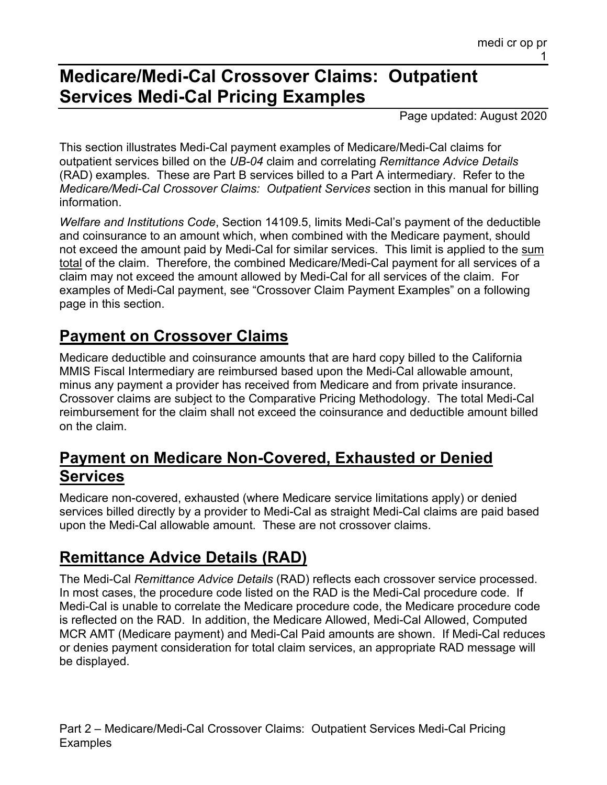## **Medicare/Medi-Cal Crossover Claims: Outpatient Services Medi-Cal Pricing Examples**

Page updated: August 2020

This section illustrates Medi-Cal payment examples of Medicare/Medi-Cal claims for outpatient services billed on the *UB-04* claim and correlating *Remittance Advice Details* (RAD) examples. These are Part B services billed to a Part A intermediary. Refer to the *Medicare/Medi-Cal Crossover Claims: Outpatient Services* section in this manual for billing information.

*Welfare and Institutions Code*, Section 14109.5, limits Medi-Cal's payment of the deductible and coinsurance to an amount which, when combined with the Medicare payment, should not exceed the amount paid by Medi-Cal for similar services. This limit is applied to the sum total of the claim. Therefore, the combined Medicare/Medi-Cal payment for all services of a claim may not exceed the amount allowed by Medi-Cal for all services of the claim. For examples of Medi-Cal payment, see "Crossover Claim Payment Examples" on a following page in this section.

### **Payment on Crossover Claims**

Medicare deductible and coinsurance amounts that are hard copy billed to the California MMIS Fiscal Intermediary are reimbursed based upon the Medi-Cal allowable amount, minus any payment a provider has received from Medicare and from private insurance. Crossover claims are subject to the Comparative Pricing Methodology. The total Medi-Cal reimbursement for the claim shall not exceed the coinsurance and deductible amount billed on the claim.

### **Payment on Medicare Non-Covered, Exhausted or Denied Services**

Medicare non-covered, exhausted (where Medicare service limitations apply) or denied services billed directly by a provider to Medi-Cal as straight Medi-Cal claims are paid based upon the Medi-Cal allowable amount. These are not crossover claims.

## **Remittance Advice Details (RAD)**

The Medi-Cal *Remittance Advice Details* (RAD) reflects each crossover service processed. In most cases, the procedure code listed on the RAD is the Medi-Cal procedure code. If Medi-Cal is unable to correlate the Medicare procedure code, the Medicare procedure code is reflected on the RAD. In addition, the Medicare Allowed, Medi-Cal Allowed, Computed MCR AMT (Medicare payment) and Medi-Cal Paid amounts are shown. If Medi-Cal reduces or denies payment consideration for total claim services, an appropriate RAD message will be displayed.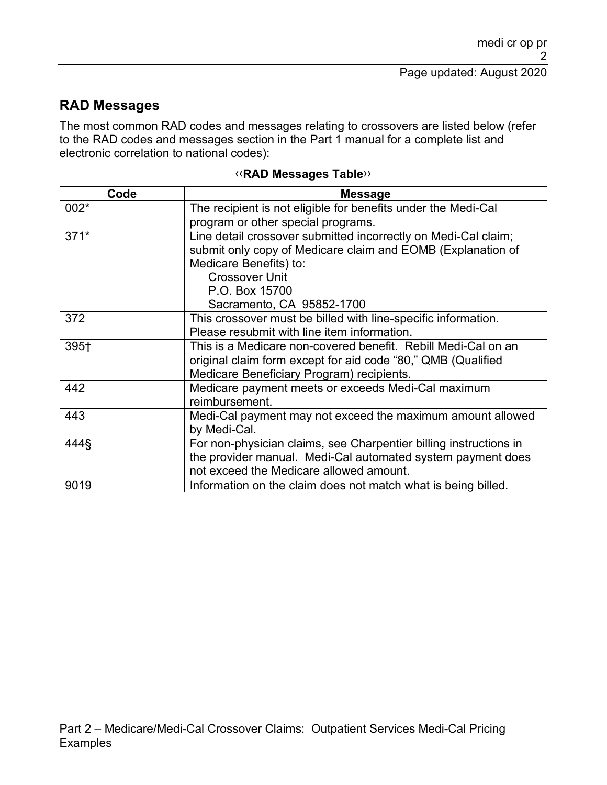### **RAD Messages**

The most common RAD codes and messages relating to crossovers are listed below (refer to the RAD codes and messages section in the Part 1 manual for a complete list and electronic correlation to national codes):

| Code   | <b>Message</b>                                                    |
|--------|-------------------------------------------------------------------|
| 002*   | The recipient is not eligible for benefits under the Medi-Cal     |
|        | program or other special programs.                                |
| $371*$ | Line detail crossover submitted incorrectly on Medi-Cal claim;    |
|        | submit only copy of Medicare claim and EOMB (Explanation of       |
|        | Medicare Benefits) to:                                            |
|        | <b>Crossover Unit</b>                                             |
|        | P.O. Box 15700                                                    |
|        | Sacramento, CA 95852-1700                                         |
| 372    | This crossover must be billed with line-specific information.     |
|        | Please resubmit with line item information.                       |
| 395+   | This is a Medicare non-covered benefit. Rebill Medi-Cal on an     |
|        | original claim form except for aid code "80," QMB (Qualified      |
|        | Medicare Beneficiary Program) recipients.                         |
| 442    | Medicare payment meets or exceeds Medi-Cal maximum                |
|        | reimbursement.                                                    |
| 443    | Medi-Cal payment may not exceed the maximum amount allowed        |
|        | by Medi-Cal.                                                      |
| 444§   | For non-physician claims, see Charpentier billing instructions in |
|        | the provider manual. Medi-Cal automated system payment does       |
|        | not exceed the Medicare allowed amount.                           |
| 9019   | Information on the claim does not match what is being billed.     |

#### [‹‹](#page-11-0)**RAD Messages Table**[››](#page-11-1)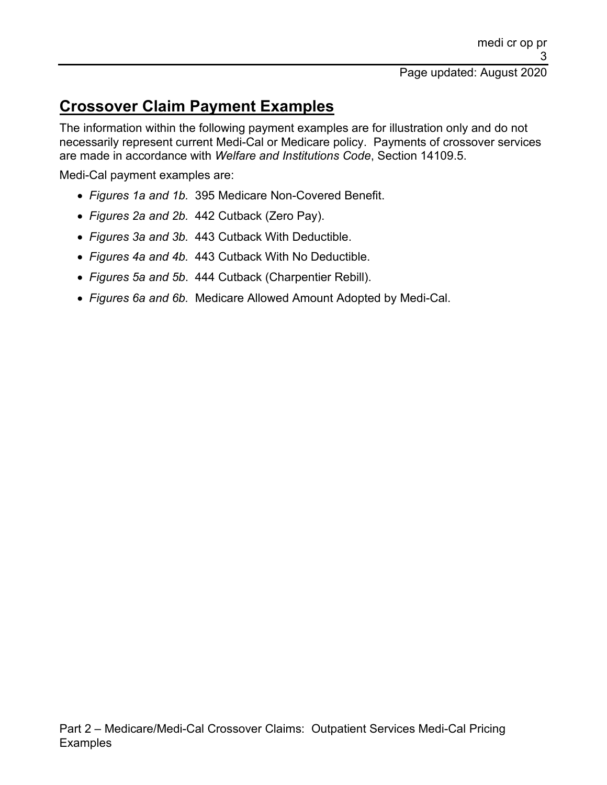## **Crossover Claim Payment Examples**

The information within the following payment examples are for illustration only and do not necessarily represent current Medi-Cal or Medicare policy. Payments of crossover services are made in accordance with *Welfare and Institutions Code*, Section 14109.5.

Medi-Cal payment examples are:

- *Figures 1a and 1b.* 395 Medicare Non-Covered Benefit.
- *Figures 2a and 2b.* 442 Cutback (Zero Pay).
- *Figures 3a and 3b.* 443 Cutback With Deductible.
- *Figures 4a and 4b.* 443 Cutback With No Deductible.
- *Figures 5a and 5b*. 444 Cutback (Charpentier Rebill).
- *Figures 6a and 6b.* Medicare Allowed Amount Adopted by Medi-Cal.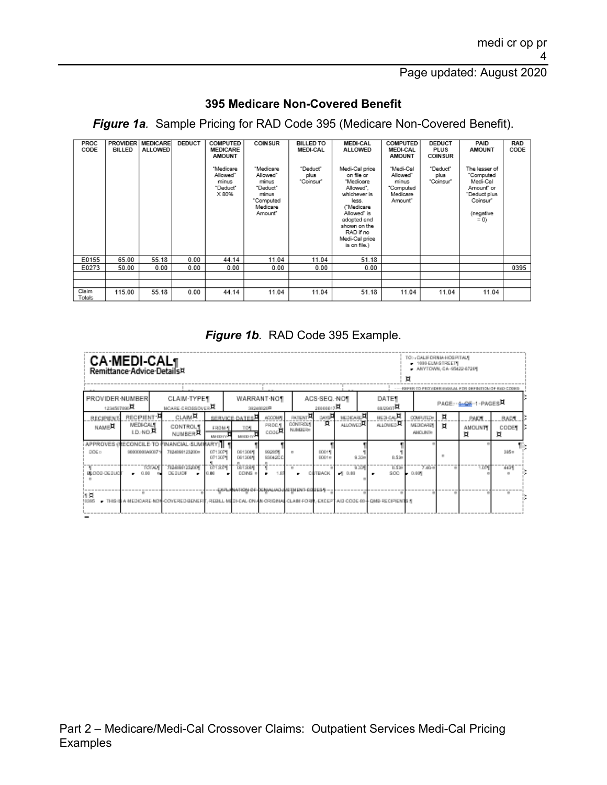#### **395 Medicare Non-Covered Benefit**

*Figure 1a.* Sample Pricing for RAD Code 395 (Medicare Non-Covered Benefit).

| PROC<br>CODE    | <b>PROVIDER</b><br><b>BILLED</b> | <b>MEDICARE</b><br><b>ALLOWED</b> | <b>DEDUCT</b> | <b>COMPUTED</b><br><b>MEDICARE</b><br><b>AMOUNT</b><br>"Medicare<br>Allowed"<br>minus<br>"Deduct"<br>X 80% | <b>COINSUR</b><br>"Medicare<br>Allowed"<br>minus<br>"Deduct"<br>minus<br>"Computed<br>Medicare<br>Amount" | <b>BILLED TO</b><br><b>MEDI-CAL</b><br>"Deduct"<br>plus<br>"Coinsur" | <b>MEDI-CAL</b><br><b>ALLOWED</b><br>Medi-Cal price<br>on file or<br>"Medicare<br>Allowed".<br>whichever is<br>less.<br>("Medicare<br>Allowed" is | <b>COMPUTED</b><br><b>MEDI-CAL</b><br><b>AMOUNT</b><br>"Medi-Cal<br>Allowed"<br>minus<br>"Computed<br>Medicare<br>Amount" | <b>DEDUCT</b><br><b>PLUS</b><br><b>COINSUR</b><br>"Deduct"<br>plus<br>"Coinsur" | PAID<br><b>AMOUNT</b><br>The lesser of<br>"Computed<br>Medi-Cal<br>Amount" or<br>"Deduct plus<br>Coinsur"<br>(negative | RAD<br>CODE |
|-----------------|----------------------------------|-----------------------------------|---------------|------------------------------------------------------------------------------------------------------------|-----------------------------------------------------------------------------------------------------------|----------------------------------------------------------------------|---------------------------------------------------------------------------------------------------------------------------------------------------|---------------------------------------------------------------------------------------------------------------------------|---------------------------------------------------------------------------------|------------------------------------------------------------------------------------------------------------------------|-------------|
|                 |                                  |                                   |               |                                                                                                            |                                                                                                           |                                                                      | adopted and<br>shown on the<br>RAD if no<br>Medi-Cal price<br>is on file.)                                                                        |                                                                                                                           |                                                                                 | $= 0$                                                                                                                  |             |
| E0155           | 65.00                            | 55.18                             | 0.00          | 44.14                                                                                                      | 11.04                                                                                                     | 11.04                                                                | 51.18                                                                                                                                             |                                                                                                                           |                                                                                 |                                                                                                                        |             |
| E0273           | 50.00                            | 0.00                              | 0.00          | 0.00                                                                                                       | 0.00                                                                                                      | 0.00                                                                 | 0.00                                                                                                                                              |                                                                                                                           |                                                                                 |                                                                                                                        | 0395        |
|                 |                                  |                                   |               |                                                                                                            |                                                                                                           |                                                                      |                                                                                                                                                   |                                                                                                                           |                                                                                 |                                                                                                                        |             |
|                 |                                  |                                   |               |                                                                                                            |                                                                                                           |                                                                      |                                                                                                                                                   |                                                                                                                           |                                                                                 |                                                                                                                        |             |
| Claim<br>Totals | 115.00                           | 55.18                             | 0.00          | 44.14                                                                                                      | 11.04                                                                                                     | 11.04                                                                | 51.18                                                                                                                                             | 11.04                                                                                                                     | 11.04                                                                           | 11.04                                                                                                                  |             |

#### *Figure 1b.* RAD Code 395 Example.

|                                                | <b>CA·MEDI-CAL</b><br>Remittance Advice Details¤ |                                                                    |                                 |                                          |                                 |                                     |                          |                              |       |                                                                                   | TO :: CALIFORNIA HOSPITALE<br>1000-ELM-STREETE<br>- ANYTOWN, CA -95422-67291 |        |                                                                                  |                     |
|------------------------------------------------|--------------------------------------------------|--------------------------------------------------------------------|---------------------------------|------------------------------------------|---------------------------------|-------------------------------------|--------------------------|------------------------------|-------|-----------------------------------------------------------------------------------|------------------------------------------------------------------------------|--------|----------------------------------------------------------------------------------|---------------------|
| <b>PROVIDER NUMBER</b><br>$1234567090\text{H}$ |                                                  | CLAIM-TYPE¶<br>MOARE-CROSSOVER                                     |                                 |                                          | <b>WARRANT NOT</b><br>39249026年 |                                     | ACS-SEQ. NOT<br>20000017 |                              |       | DATE<br>asserR                                                                    |                                                                              |        | -- PERRISTO PROVIDERI GIASSAL FOR CERRITION OF BAD CODES.<br>PAGE-+ 4-05-1-PAGES |                     |
| <b>REGIPIENT</b><br><b>NAMER</b>               | RECIPIENT- <sup>H</sup><br>MEDI-CALT<br>LD.NO.R  | <b>CLAIM<sup>H</sup></b><br><b>CONTROLS</b><br>NUMBER <sup>T</sup> | FROM 1<br>MADDITIC <sup>3</sup> | SERVICE-DATES<br>TOW<br>MISCIO IVA       | ADOOM/<br>PROCA<br>coochi       | <b>PATENT</b><br>DON ROLL<br>NUMBER | uos¤<br>'n               | MEDICARE PL<br><b>ALOWED</b> |       | <b>MEDICAL AL</b><br>ALLOWED <sup>R</sup>                                         | COMPUTED®<br>MEDICARDE<br><b>AMOUNTS</b>                                     | Ħ<br>п | PAIDT<br><b>AMOUNTE</b><br>Ħ                                                     | BARS.<br>CODET<br>Ħ |
| DOG D                                          | 9800080A9007                                     | APPROVES (RECONCILE TO FINANCIAL SUMMARY)   1<br>7024090123200m    | 0713071<br>0713071              | 0613084<br>0613084                       | <b>MODERN</b><br>930420.0       | $\mathbf{r}$                        | 00019<br>ODD1#           |                              | 9.35m | 0.536                                                                             |                                                                              |        |                                                                                  | 365n                |
| BLOOD OCOUQ                                    | <b>TOTALY</b><br>0.00                            | 1020301258001<br><b>DEBUOK</b>                                     | 2019204<br>0.89                 | <b>DUTSIN</b><br>COING #                 |                                 | $\mathbf{m}$                        | <b>SUTBACK</b>           | $-10.00$                     | 9.359 | TO SHOP<br>SOC:                                                                   | 7.650<br>$-0.001$                                                            |        | ٦ZM                                                                              | 4434                |
| 河東<br>10306                                    | $\mathbf{m}$                                     | THIS IS A MEDICARE NON-COVERED BENEFIT.                            |                                 | CAPLANATION OF DENNLOLD AS THEN FOODEST. |                                 |                                     |                          |                              |       | REBILL-MEDI-CAL-ON-AN-ORIGINAL CLAIM FORM, EXCEPT-AID COOE 60-FOMB RECIPIENTS / R |                                                                              |        |                                                                                  | $\mathbf{m}$        |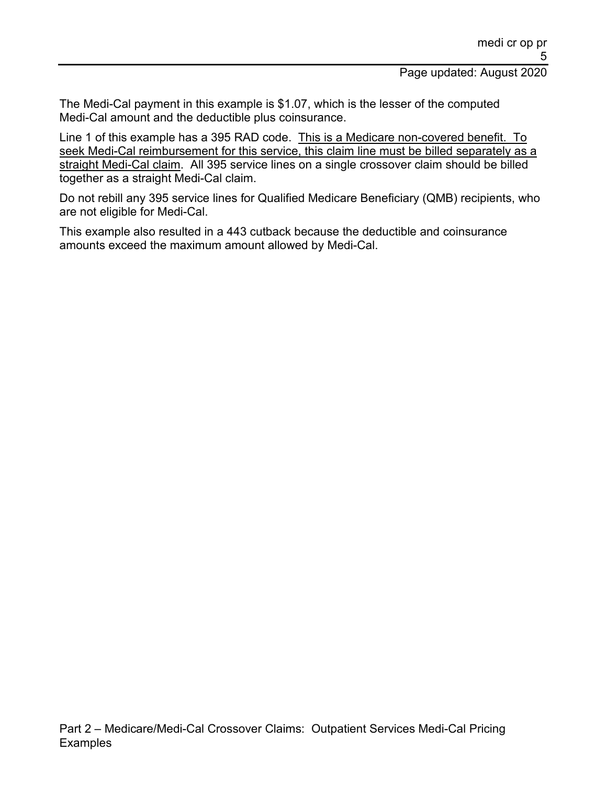The Medi-Cal payment in this example is \$1.07, which is the lesser of the computed Medi-Cal amount and the deductible plus coinsurance.

Line 1 of this example has a 395 RAD code. This is a Medicare non-covered benefit. To seek Medi-Cal reimbursement for this service, this claim line must be billed separately as a straight Medi-Cal claim. All 395 service lines on a single crossover claim should be billed together as a straight Medi-Cal claim.

Do not rebill any 395 service lines for Qualified Medicare Beneficiary (QMB) recipients, who are not eligible for Medi-Cal.

This example also resulted in a 443 cutback because the deductible and coinsurance amounts exceed the maximum amount allowed by Medi-Cal.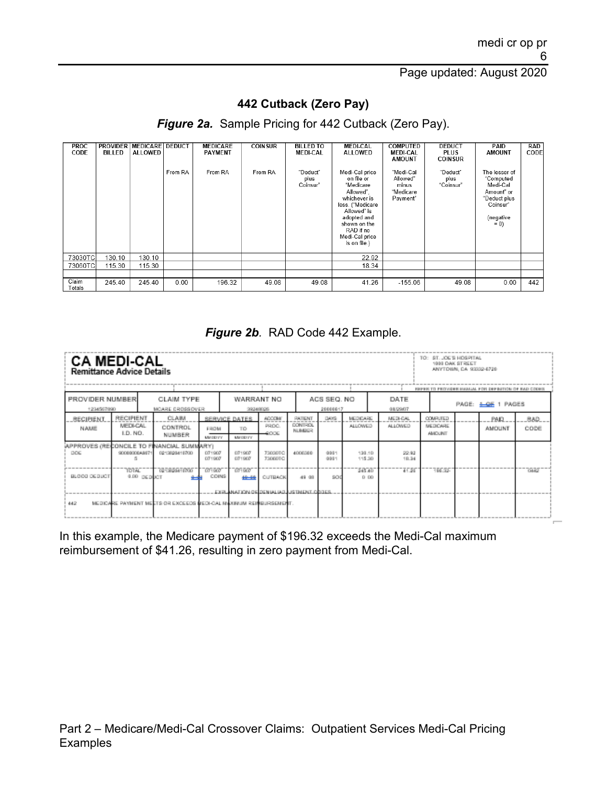#### **442 Cutback (Zero Pay)**

#### *Figure 2a.* Sample Pricing for 442 Cutback (Zero Pay).

| <b>PROC</b><br>CODE | <b>PROVIDER</b><br><b>BILLED</b> | <b>MEDICARE DEDUCT</b><br><b>ALLOWED</b> | From RA | <b>MEDICARE</b><br><b>PAYMENT</b><br>From RA | <b>COINSUR</b><br>From RA | <b>BILLED TO</b><br><b>MEDI-CAL</b><br>"Deduct"<br>plus<br>Coinsur" | <b>MEDI-CAL</b><br><b>ALLOWED</b><br>Medi-Cal price<br>on file or<br>"Medicare<br>Allowed".<br>whichever is<br>less. ("Medicare<br>Allowed" is<br>adopted and<br>shown on the<br>RAD if no<br>Medi-Cal price<br>is on file.) | <b>COMPUTED</b><br><b>MEDI-CAL</b><br><b>AMOUNT</b><br>"Medi-Cal<br>Allowed"<br>minus<br>"Medicare<br>Payment" | <b>DEDUCT</b><br><b>PLUS</b><br><b>COINSUR</b><br>"Deduct"<br>plus<br>"Coinsur" | PAID<br><b>AMOUNT</b><br>The lesser of<br>"Computed<br>Medi-Cal<br>Amount" or<br>"Deduct plus<br>Coinsur"<br>(negative<br>$= 0$ | RAD<br>CODE |
|---------------------|----------------------------------|------------------------------------------|---------|----------------------------------------------|---------------------------|---------------------------------------------------------------------|------------------------------------------------------------------------------------------------------------------------------------------------------------------------------------------------------------------------------|----------------------------------------------------------------------------------------------------------------|---------------------------------------------------------------------------------|---------------------------------------------------------------------------------------------------------------------------------|-------------|
| 73030TC             | 130.10                           | 130.10                                   |         |                                              |                           |                                                                     | 22.92                                                                                                                                                                                                                        |                                                                                                                |                                                                                 |                                                                                                                                 |             |
| 73060TCI            | 115.30                           | 115.30                                   |         |                                              |                           |                                                                     | 18.34                                                                                                                                                                                                                        |                                                                                                                |                                                                                 |                                                                                                                                 |             |
|                     |                                  |                                          |         |                                              |                           |                                                                     |                                                                                                                                                                                                                              |                                                                                                                |                                                                                 |                                                                                                                                 |             |
| Claim<br>Totals     | 245.40                           | 245.40                                   | 0.00    | 196.32                                       | 49.08                     | 49.08                                                               | 41.26                                                                                                                                                                                                                        | $-155.06$                                                                                                      | 49.08                                                                           | 0.00                                                                                                                            | 442         |

#### *Figure 2b.* RAD Code 442 Example.

| <b>CA MEDI-CAL</b><br><b>Remittance Advice Details</b> |                                                                                                                                 |             |                                                                   |                                         |                                                                  |                                  |            |                            |                                   |                  |                                              | TO: ST. JOE'S HOSPITAL | 1999 OAK STREET<br>ANYTOWN, CA 93332-6729 | REPER TO PROVIDER HANJAL FOR DEFINITION OF RAD CODE! |       |
|--------------------------------------------------------|---------------------------------------------------------------------------------------------------------------------------------|-------------|-------------------------------------------------------------------|-----------------------------------------|------------------------------------------------------------------|----------------------------------|------------|----------------------------|-----------------------------------|------------------|----------------------------------------------|------------------------|-------------------------------------------|------------------------------------------------------|-------|
| <b>PROVIDER NUMBER</b><br>1234567890                   |                                                                                                                                 |             | CLAIM TYPE                                                        |                                         | 39249026                                                         | WARRANT NO                       |            | ACS SEO, NO<br>20000017    |                                   | DATE<br>01/29/07 |                                              |                        |                                           | PAGE: 4 GE 1 PAGES                                   |       |
| RECIPIENT<br>NAME                                      | MCARE CROSSOVER<br>RECIPIENT<br>CLAIM<br>MEDI-CAL<br>CONTROL<br>I.D. NO.<br>NUMBER<br>APPROVES (RECONCILE TO FINANCIAL SUMMARY) |             | FROM<br><b>MM DEFFY</b>                                           | SERVICE DATES<br>TD<br><b>MM DEFINI</b> | ACCOM/<br>PROC.<br><b>ACCOR</b>                                  | PATENT<br>DONE ROL<br>NUMBER     | 1405       | NEDISARE<br><b>ALLOWED</b> | <b>MEDI-CAL</b><br><b>ALLOWED</b> |                  | <b>COMPUTED</b><br>MEDICARE<br><b>ANOUNT</b> |                        | <b>PAID</b><br><b>AMOUNT</b>              | BAD.<br>CODE                                         |       |
| DOG                                                    | 900000084807                                                                                                                    |             | 0213020410700                                                     | 071907<br>071907                        | 071907<br>071907                                                 | <b>33030TC</b><br><b>T3060TC</b> | 4006386    | 0031<br>0031               | 130.10<br>115.30                  |                  | 22.92<br>19.34                               |                        |                                           |                                                      |       |
| BLOCK DEBUCT                                           | ገንገጹር                                                                                                                           | 4.00 DEDUCT | 1078591000                                                        | 109507<br>COINS                         | -019507<br>$+ + +$<br>EXPLANATION ORDEN MUNICIPALISTIMENT OBJES. | <b>CUTBACK</b>                   | $-49 - 00$ | soc                        | 245.40<br>0.00                    |                  | 41.26                                        | 356.55                 |                                           |                                                      | านเอร |
| 442                                                    |                                                                                                                                 |             | MEDIOARE PAYMENT MEETS OR EXCEEDS MEDI-CAL MAXIMUM REINBURSEMENT. |                                         |                                                                  |                                  |            |                            |                                   |                  |                                              |                        |                                           |                                                      |       |

In this example, the Medicare payment of \$196.32 exceeds the Medi-Cal maximum reimbursement of \$41.26, resulting in zero payment from Medi-Cal.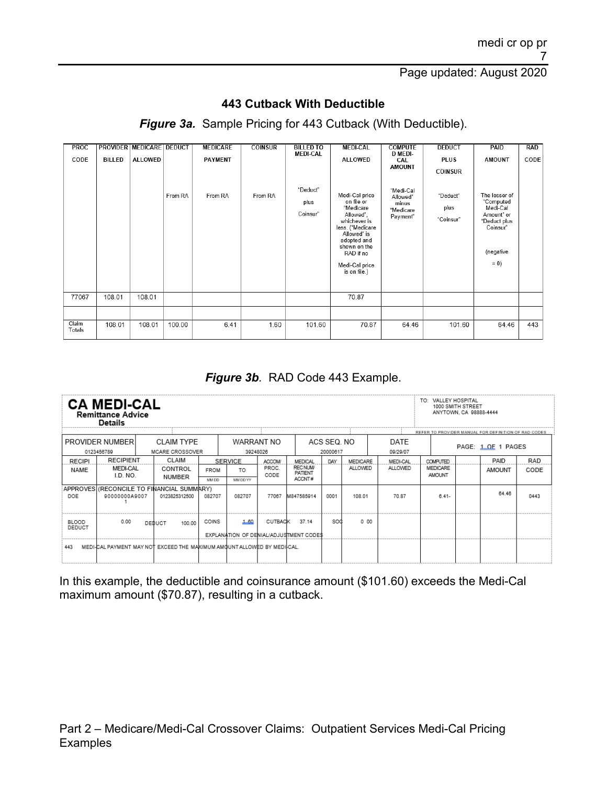#### **443 Cutback With Deductible**

*Figure 3a.* Sample Pricing for 443 Cutback (With Deductible).

| <b>PROC</b><br>CODE | <b>BILLED</b> | PROVIDER MEDICARE DEDUCT<br>ALLOWED |         | <b>MEDICARE</b><br><b>PAYMENT</b> | <b>COINSUR</b> | <b>BILLED TO</b><br><b>MEDI-CAL</b> | <b>MEDI-CAL</b><br><b>ALLOWED</b>                                                                                                                                                       | <b>COMPUTE</b><br><b>D MEDI-</b><br>CAL<br><b>AMOUNT</b> | <b>DEDUCT</b><br><b>PLUS</b><br><b>COINSUR</b> | PAID<br><b>AMOUNT</b>                                                                                  | <b>RAD</b><br>CODE |
|---------------------|---------------|-------------------------------------|---------|-----------------------------------|----------------|-------------------------------------|-----------------------------------------------------------------------------------------------------------------------------------------------------------------------------------------|----------------------------------------------------------|------------------------------------------------|--------------------------------------------------------------------------------------------------------|--------------------|
|                     |               |                                     | From RA | From RA                           | From RA        | "Deduct"<br>plus<br>Coinsur"        | Medi-Cal price<br>on file or<br>"Medicare<br>Allowed".<br>whichever is<br>less. ("Medicare<br>Allowed" is<br>adopted and<br>shown on the<br>RAD if no<br>Medi-Cal price<br>is on file.) | "Medi-Cal<br>Allowed"<br>minus<br>"Medicare<br>Payment"  | "Deduct"<br>plus<br>"Coinsur"                  | The lesser of<br>"Computed<br>Medi-Cal<br>Amount" or<br>"Deduct plus<br>Coinsur"<br>(negative<br>$= 0$ |                    |
| 77067               | 108.01        | 108.01                              |         |                                   |                |                                     | 70.87                                                                                                                                                                                   |                                                          |                                                |                                                                                                        |                    |
|                     |               |                                     |         |                                   |                |                                     |                                                                                                                                                                                         |                                                          |                                                |                                                                                                        |                    |
| Claim<br>Totals     | 108.01        | 108.01                              | 100.00  | 6.41                              | 1.60           | 101.60                              | 70.87                                                                                                                                                                                   | 64.46                                                    | 101.60                                         | 64.46                                                                                                  | 443                |

*Figure 3b.* RAD Code 443 Example.

|                        | <b>CA MEDI-CAL</b><br><b>Remittance Advice</b><br><b>Details</b>                                                                                     |  |                                                                          |                      |                            |                         |                                                 |                         |                            |                            | TO: VALLEY HOSPITAL                          | 1000 SMITH STREET<br>ANYTOWN, CA 98888-4444 |                                                                            |                    |
|------------------------|------------------------------------------------------------------------------------------------------------------------------------------------------|--|--------------------------------------------------------------------------|----------------------|----------------------------|-------------------------|-------------------------------------------------|-------------------------|----------------------------|----------------------------|----------------------------------------------|---------------------------------------------|----------------------------------------------------------------------------|--------------------|
|                        | PROVIDER NUMBER                                                                                                                                      |  | <b>CLAIM TYPE</b>                                                        |                      |                            | WARRANT NO<br>39248026  |                                                 | ACS SEQ. NO<br>20000617 |                            | DATE<br>09/29/07           |                                              |                                             | REFER TO PROVIDER MANUAL FOR DEFINITION OF RAD CODES<br>PAGE: 1 OF 1 PAGES |                    |
| <b>RECIPI</b><br>NAME  | 0123456789<br>MCARE CROSSOVER<br><b>RECIPIENT</b><br>CLAIM<br>MEDI-CAL<br>CONTROL<br>I.D. NO.<br>NUMBER<br>APPROVES (RECONCILE TO FINANCIAL SUMMARY) |  |                                                                          | <b>FROM</b><br>MM DD | SERVICE<br>TO.<br>MM DD YY | ACCOM/<br>PROC.<br>CODE | MEDICAL<br><b>RECNUM/</b><br>PATIENT<br>ACCNT#  | DAY                     | MEDICARE<br><b>ALLOWED</b> | MEDI-CAL<br><b>ALLOWED</b> | <b>COMPUTED</b><br>MEDICARE<br><b>AMOUNT</b> |                                             | PAID<br>AMOUNT                                                             | <b>RAD</b><br>CODE |
| DOE                    | 90000000A9007                                                                                                                                        |  | 0123825312500                                                            | 082707               | 082707                     | 77067                   | M847585914                                      | 0001                    | 108.01                     | 70.87                      | $641-$                                       |                                             | 64.46                                                                      | 0443               |
| <b>BLOOD</b><br>DEDUCT | 0.00                                                                                                                                                 |  | 100.00<br>DEDUCT                                                         | COINS                | 1.60                       | CUTBACK                 | 37 14<br>EXPLANATION OF DENIAL/ADJUSTMENT CODES | sod                     | 0 00                       |                            |                                              |                                             |                                                                            |                    |
| 443                    |                                                                                                                                                      |  | MEDI-CAL PAYMENT MAY NOT EXCEED THE MAKIMUM AMOUNT ALLOWED BY MEDII-CAL. |                      |                            |                         |                                                 |                         |                            |                            |                                              |                                             |                                                                            |                    |

In this example, the deductible and coinsurance amount (\$101.60) exceeds the Medi-Cal maximum amount (\$70.87), resulting in a cutback.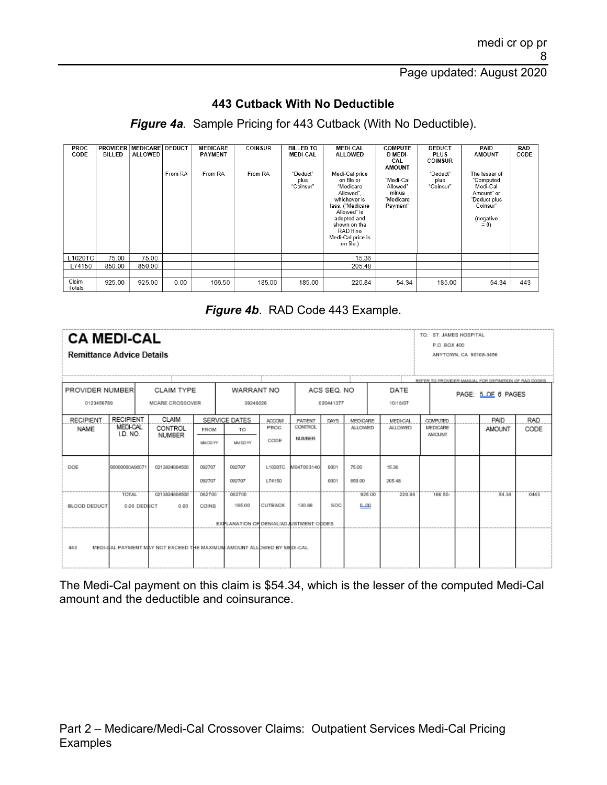#### **443 Cutback With No Deductible**

*Figure 4a.* Sample Pricing for 443 Cutback (With No Deductible).

| <b>PROC</b><br>CODE | <b>PROVIDER</b><br>BILLED | <b>MEDICARE DEDUCT</b><br><b>ALLOWED</b> | From RA | <b>MEDICARE</b><br><b>PAYMENT</b><br>From RA | <b>COINSUR</b><br>From RA | <b>BILLED TO</b><br><b>MEDI-CAL</b><br>"Deduct"<br>plus<br>"Coinsur" | <b>MEDI-CAL</b><br><b>ALLOWED</b><br>Medi-Cal price<br>on file or<br>"Medicare<br>Allowed".<br>whichever is<br>less. ("Medicare<br>Allowed" is<br>adopted and<br>shown on the<br>RAD if no<br>Medi-Cal price is<br>on file.) | <b>COMPUTE</b><br><b>D MEDI-</b><br>CAL<br><b>AMOUNT</b><br>"Medi-Cal<br>Allowed"<br>minus<br>"Medicare<br>Payment" | <b>DEDUCT</b><br><b>PLUS</b><br><b>COINSUR</b><br>"Deduct"<br>plus<br>"Coinsur" | PAID<br><b>AMOUNT</b><br>The lesser of<br>"Computed<br>Medi-Cal<br>Amount" or<br>"Deduct plus<br>Coinsur"<br>(negative<br>$= 0$ | RAD<br>CODE |
|---------------------|---------------------------|------------------------------------------|---------|----------------------------------------------|---------------------------|----------------------------------------------------------------------|------------------------------------------------------------------------------------------------------------------------------------------------------------------------------------------------------------------------------|---------------------------------------------------------------------------------------------------------------------|---------------------------------------------------------------------------------|---------------------------------------------------------------------------------------------------------------------------------|-------------|
| L1020TC             | 75.00                     | 75.00                                    |         |                                              |                           |                                                                      | 15.36                                                                                                                                                                                                                        |                                                                                                                     |                                                                                 |                                                                                                                                 |             |
| L74150              | 850.00                    | 850.00                                   |         |                                              |                           |                                                                      | 205.48                                                                                                                                                                                                                       |                                                                                                                     |                                                                                 |                                                                                                                                 |             |
|                     |                           |                                          |         |                                              |                           |                                                                      |                                                                                                                                                                                                                              |                                                                                                                     |                                                                                 |                                                                                                                                 |             |
| Claim<br>Totals     | 925.00                    | 925.00                                   | 0.00    | 166.50                                       | 185.00                    | 185.00                                                               | 220.84                                                                                                                                                                                                                       | 54.34                                                                                                               | 185.00                                                                          | 54.34                                                                                                                           | 443         |

#### *Figure 4b*. RAD Code 443 Example.

| <b>CA MEDI-CAL</b><br><b>Remittance Advice Details</b>                                                                                   |                                                                               |  |                                                                         |                         |                                                            |                               |                                            |              |                            |                                   | TO: ST. JAMES HOSPITAL<br>P.O. BOX 400<br>REFER TO PRI | ANYTOWN, CA 90108-3456 |                       |                    |
|------------------------------------------------------------------------------------------------------------------------------------------|-------------------------------------------------------------------------------|--|-------------------------------------------------------------------------|-------------------------|------------------------------------------------------------|-------------------------------|--------------------------------------------|--------------|----------------------------|-----------------------------------|--------------------------------------------------------|------------------------|-----------------------|--------------------|
| PROVIDER NUMBER<br>CLAIM TYPE<br>WARRANT NO<br>ACS SEQ. NO<br>DATE<br>0123456789<br>MCARE CROSSOVER<br>39248026<br>020441377<br>10/18/07 |                                                                               |  |                                                                         |                         |                                                            |                               |                                            |              |                            |                                   |                                                        |                        | PAGE: 5 OF 8 PAGES    |                    |
| <b>RECIPIENT</b><br><b>NAME</b>                                                                                                          | <b>RECIPIENT</b><br>CLAIM<br><b>MEDI-CAL</b><br>CONTROL<br>I.D. NO.<br>NUMBER |  |                                                                         | <b>FROM</b><br>MM DD YY | SERVICE DATES<br>TO<br>MAIDD YY                            | <b>ACCOM</b><br>PROC.<br>CODE | PATIENT<br><b>CONTROL</b><br><b>NUMBER</b> | DAYS         | MEDICARE<br><b>ALLOWED</b> | <b>MEDI-CAL</b><br><b>ALLOWED</b> | <b>COMPUTED</b><br>MEDICARE<br><b>AMOUNT</b>           |                        | PAID<br><b>AMOUNT</b> | <b>RAD</b><br>CODE |
| DOE                                                                                                                                      | 90000000A90071                                                                |  | 0213824804500                                                           | 092707<br>092707        | 092707<br>092707                                           | L1020TC<br>L74150             | M847003140                                 | 0001<br>0001 | 75.00<br>850.00            | 15.35<br>205.48                   |                                                        |                        |                       |                    |
| <b>BLOOD DEDUCT</b>                                                                                                                      | <b>TOTAL</b><br>0.00 DEDUCT                                                   |  | 0213824804500<br>0.00                                                   | 062700<br>COINS         | 062700<br>185.00<br>EXPLANATION OF DENIALIADJUSTMENT CODES | CUTBACK                       | 130.66                                     | SOC          | 925.00<br>മാമ              | 220.84                            | 166.50-                                                |                        | 54.34                 | 0443               |
| 443                                                                                                                                      |                                                                               |  | MEDI-GAL PAYMENT MAY NOT EXCEED THE MAXIMUM AMOUNT ALLOWED BY MEDI-CAL. |                         |                                                            |                               |                                            |              |                            |                                   |                                                        |                        |                       |                    |

The Medi-Cal payment on this claim is \$54.34, which is the lesser of the computed Medi-Cal amount and the deductible and coinsurance.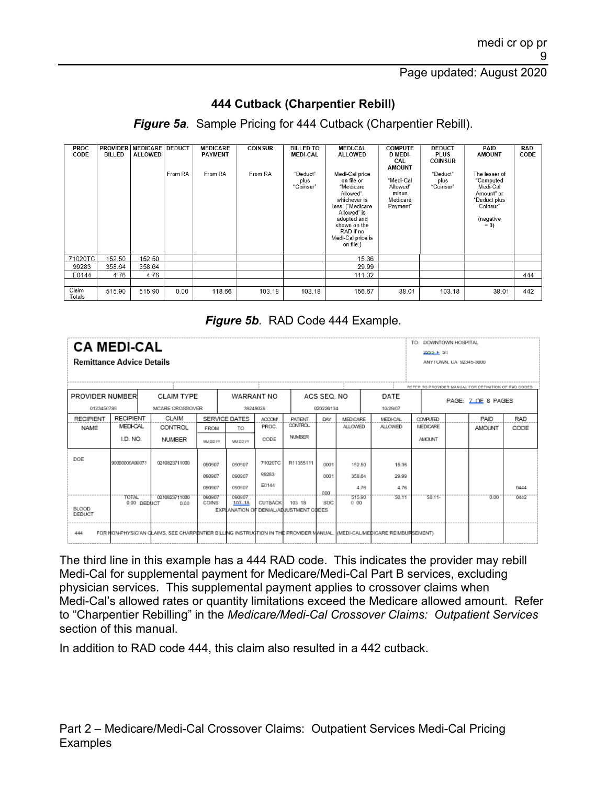## **444 Cutback (Charpentier Rebill)**

*Figure 5a.* Sample Pricing for 444 Cutback (Charpentier Rebill).

| <b>PROC</b><br>CODE | <b>PROVIDER</b><br><b>BILLED</b> | <b>MEDICARE</b><br><b>ALLOWED</b> | <b>DEDUCT</b><br>From RA | <b>MEDICARE</b><br><b>PAYMENT</b><br>From RA | <b>COINSUR</b><br>From RA | <b>BILLED TO</b><br><b>MEDI-CAL</b><br>"Deduct"<br>plus<br>"Coinsur" | <b>MEDI-CAL</b><br><b>ALLOWED</b><br>Medi-Cal price<br>on file or<br>"Medicare<br>Allowed".<br>whichever is<br>less. ("Medicare<br>Allowed" is<br>adopted and<br>shown on the<br>RAD if no<br>Medi-Cal price is<br>on file.) | <b>COMPUTE</b><br>D MEDI-<br>CAL<br><b>AMOUNT</b><br>"Medi-Cal<br>Allowed"<br>minus<br>Medicare<br>Payment" | <b>DEDUCT</b><br><b>PLUS</b><br><b>COINSUR</b><br>"Deduct"<br>plus<br>"Coinsur" | PAID<br><b>AMOUNT</b><br>The lesser of<br>"Computed<br>Medi-Cal<br>Amount" or<br>"Deduct plus<br>Coinsur <sup>®</sup><br>(negative<br>$= 0$ | RAD<br>CODE |
|---------------------|----------------------------------|-----------------------------------|--------------------------|----------------------------------------------|---------------------------|----------------------------------------------------------------------|------------------------------------------------------------------------------------------------------------------------------------------------------------------------------------------------------------------------------|-------------------------------------------------------------------------------------------------------------|---------------------------------------------------------------------------------|---------------------------------------------------------------------------------------------------------------------------------------------|-------------|
| 71020TC             | 152.50                           | 152.50                            |                          |                                              |                           |                                                                      | 15.36                                                                                                                                                                                                                        |                                                                                                             |                                                                                 |                                                                                                                                             |             |
| 99283               | 358.64                           | 358.64                            |                          |                                              |                           |                                                                      | 29.99                                                                                                                                                                                                                        |                                                                                                             |                                                                                 |                                                                                                                                             |             |
| E0144               | 4.76                             | 4.76                              |                          |                                              |                           |                                                                      | 111.32                                                                                                                                                                                                                       |                                                                                                             |                                                                                 |                                                                                                                                             | 444         |
|                     |                                  |                                   |                          |                                              |                           |                                                                      |                                                                                                                                                                                                                              |                                                                                                             |                                                                                 |                                                                                                                                             |             |
| Claim<br>Totals     | 515.90                           | 515.90                            | 0.00                     | 118.66                                       | 103.18                    | 103.18                                                               | 156.67                                                                                                                                                                                                                       | 38.01                                                                                                       | 103.18                                                                          | 38.01                                                                                                                                       | 442         |

#### *Figure 5b.* RAD Code 444 Example.

| <b>CA MEDI-CAL</b><br><b>Remittance Advice Details</b> |                                                                           |                             |  |                                                                                                                        |                 |                  |                |                                        |      |                |                 | TO: DOWNTOWN HOSPITAL<br>$2255 + 81$ | ANY LUWN, CA 92345-3000 |                                                      |            |
|--------------------------------------------------------|---------------------------------------------------------------------------|-----------------------------|--|------------------------------------------------------------------------------------------------------------------------|-----------------|------------------|----------------|----------------------------------------|------|----------------|-----------------|--------------------------------------|-------------------------|------------------------------------------------------|------------|
|                                                        |                                                                           |                             |  |                                                                                                                        |                 |                  |                |                                        |      |                |                 |                                      |                         | REFER TO PROVIDER MANUAL FOR DEFINITION OF RAD CODES |            |
|                                                        | PROVIDER NUMBER<br><b>CLAIM TYPE</b><br>ACS SEQ. NO<br>DATE<br>WARRANT NO |                             |  |                                                                                                                        |                 |                  |                |                                        |      |                |                 |                                      |                         | PAGE: Z OE 8 PAGES                                   |            |
|                                                        | 0123456789<br>MCARE CROSSOVER<br>39248026<br>020226134<br>10/29/07        |                             |  |                                                                                                                        |                 |                  |                |                                        |      |                |                 |                                      |                         |                                                      |            |
| <b>RECIPIENT</b>                                       |                                                                           | <b>RECIPIENT</b>            |  | CLAIM                                                                                                                  |                 | SERVICE DATES    | ACCOM/         | <b>PATIENT</b><br><b>CONTROL</b>       | DAY  | MEDICARE       | <b>MEDI-CAL</b> | <b>COMPUTED</b>                      |                         | <b>PAID</b>                                          | <b>RAD</b> |
| <b>NAME</b>                                            |                                                                           | <b>MEDI-CAL</b>             |  | CONTROL                                                                                                                | <b>FROM</b>     | TO               | PROC.          |                                        |      | <b>ALLOWED</b> | <b>ALLOWED</b>  | MEDICARE                             |                         | <b>AMOUNT</b>                                        | CODE       |
|                                                        | I.D. NO.<br><b>NUMBER</b>                                                 |                             |  |                                                                                                                        |                 | MAI DD YY        | CODE           | <b>NUMBER</b>                          |      |                |                 | <b>AMOUNT</b>                        |                         |                                                      |            |
| DOE                                                    |                                                                           | 90000000A90071              |  | 0210823711000                                                                                                          | 090907          | 090907           | 71020TC        | R11355111                              | 0001 | 152.50         | 15.36           |                                      |                         |                                                      |            |
|                                                        |                                                                           |                             |  |                                                                                                                        | 090907          | 090907           | 99283          |                                        | 0001 | 358.64         | 29.99           |                                      |                         |                                                      |            |
|                                                        |                                                                           |                             |  |                                                                                                                        | 090907          | 090907           | E0144          |                                        | 000  | 4.76           | 4.76            |                                      |                         |                                                      | 0444       |
|                                                        |                                                                           | <b>TOTAL</b><br>0.00 DEDUCT |  | 0210823711000<br>0.00                                                                                                  | 090907<br>COINS | 090907<br>103 18 | <b>CUTBACK</b> | 103 18                                 | SOC. | 515.90<br>0.00 | 50.11           | 50.11-                               |                         | -6.06                                                | 0442       |
| <b>BLOOD</b><br>DEDUCT                                 |                                                                           |                             |  |                                                                                                                        |                 |                  |                | EXPLANATION OF DENIAL/ADJUSTMENT CODES |      |                |                 |                                      |                         |                                                      |            |
| 444                                                    |                                                                           |                             |  | FOR NON-PHYSICIAN CLAIMS. SEE CHARPENTIER BILLING INSTRUCTION IN THE PROVIDER MANUAL, (MEDI-CALMEDICARE REIMBURSEMENT) |                 |                  |                |                                        |      |                |                 |                                      |                         |                                                      |            |

The third line in this example has a 444 RAD code. This indicates the provider may rebill Medi-Cal for supplemental payment for Medicare/Medi-Cal Part B services, excluding physician services. This supplemental payment applies to crossover claims when Medi-Cal's allowed rates or quantity limitations exceed the Medicare allowed amount. Refer to "Charpentier Rebilling" in the *Medicare/Medi-Cal Crossover Claims: Outpatient Services* section of this manual.

In addition to RAD code 444, this claim also resulted in a 442 cutback.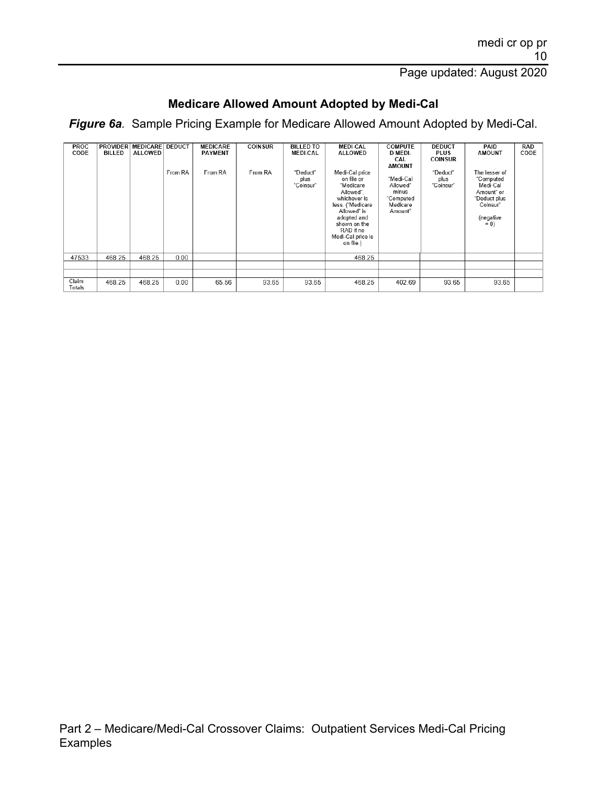# **Medicare Allowed Amount Adopted by Medi-Cal**

*Figure 6a.* Sample Pricing Example for Medicare Allowed Amount Adopted by Medi-Cal.

| <b>PROC</b><br>CODE | <b>PROVIDER</b><br>BILLED | <b>MEDICARE DEDUCT</b><br>ALLOWED | From RA | <b>MEDICARE</b><br><b>PAYMENT</b><br>From RA | <b>COINSUR</b><br>From RA | <b>BILLED TO</b><br><b>MEDI-CAL</b><br>"Deduct"<br>plus<br>"Coinsur" | <b>MEDI-CAL</b><br><b>ALLOWED</b><br>Medi-Cal price<br>on file or<br>"Medicare<br>Allowed".<br>whichever is<br>less. ("Medicare<br>Allowed" is<br>adopted and<br>shown on the<br>RAD if no<br>Medi-Cal price is<br>on file.) | <b>COMPUTE</b><br>D MEDI-<br>CAL<br><b>AMOUNT</b><br>"Medi-Cal<br>Allowed"<br>minus<br>"Computed<br>Medicare<br>Amount" | <b>DEDUCT</b><br><b>PLUS</b><br><b>COINSUR</b><br>"Deduct"<br>plus<br>"Coinsur" | PAID<br><b>AMOUNT</b><br>The lesser of<br>"Computed<br>Medi-Cal<br>Amount" or<br>"Deduct plus<br>Coinsur"<br>(negative<br>$= 0$ | <b>RAD</b><br>CODE |
|---------------------|---------------------------|-----------------------------------|---------|----------------------------------------------|---------------------------|----------------------------------------------------------------------|------------------------------------------------------------------------------------------------------------------------------------------------------------------------------------------------------------------------------|-------------------------------------------------------------------------------------------------------------------------|---------------------------------------------------------------------------------|---------------------------------------------------------------------------------------------------------------------------------|--------------------|
| 47533               | 468.25                    | 468.25                            | 0.00    |                                              |                           |                                                                      | 468.25                                                                                                                                                                                                                       |                                                                                                                         |                                                                                 |                                                                                                                                 |                    |
|                     |                           |                                   |         |                                              |                           |                                                                      |                                                                                                                                                                                                                              |                                                                                                                         |                                                                                 |                                                                                                                                 |                    |
|                     |                           |                                   |         |                                              |                           |                                                                      |                                                                                                                                                                                                                              |                                                                                                                         |                                                                                 |                                                                                                                                 |                    |
| Claim<br>Totals     | 468.25                    | 468.25                            | 0.00    | 65.56                                        | 93.65                     | 93.65                                                                | 468.25                                                                                                                                                                                                                       | 402.69                                                                                                                  | 93.65                                                                           | 93.65                                                                                                                           |                    |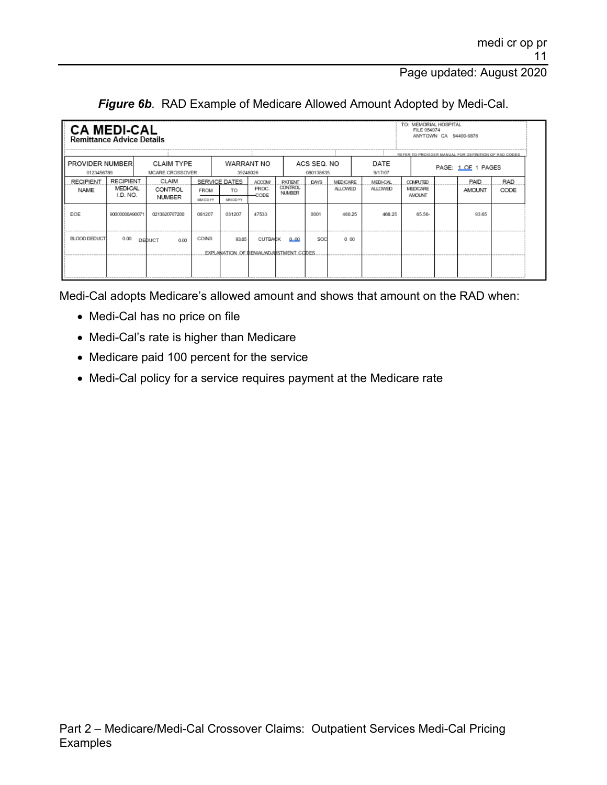|  |  | Figure 6b. RAD Example of Medicare Allowed Amount Adopted by Medi-Cal. |  |  |
|--|--|------------------------------------------------------------------------|--|--|
|--|--|------------------------------------------------------------------------|--|--|

| TO: MEMORIAL HOSPITAL<br><b>CA MEDI-CAL</b><br>FILE 954074<br>ANYTOWN CA 94400-9876<br><b>Remittance Advice Details</b> |                                          |                                      |                         |                                                  |                                   |                                            |                          |                            |                                   |                                              |                                                                            |                    |
|-------------------------------------------------------------------------------------------------------------------------|------------------------------------------|--------------------------------------|-------------------------|--------------------------------------------------|-----------------------------------|--------------------------------------------|--------------------------|----------------------------|-----------------------------------|----------------------------------------------|----------------------------------------------------------------------------|--------------------|
| PROVIDER NUMBER<br>0123456789                                                                                           |                                          | <b>CLAIM TYPE</b><br>MCARE CROSSOVER |                         | WARRANT NO<br>39248026                           |                                   |                                            | ACS SEQ. NO<br>080138635 |                            | DATE<br>9/17/07                   |                                              | REFER TO PROVIDER MANUAL FOR DEFINITION OF RAD CODES<br>PAGE: 1 DE 1 PAGES |                    |
| <b>RECIPIENT</b><br><b>NAME</b>                                                                                         | <b>RECIPIENT</b><br>MEDI-CAL<br>I.D. NO. | CLAIM<br>CONTROL<br><b>NUMBER</b>    | <b>FROM</b><br>MM DD YY | SERVICE DATES<br>TO.<br>MM DD YY                 | <b>ACCOM/</b><br>PROC.<br>$-CODE$ | <b>PATIENT</b><br>CONTROL<br><b>NUMBER</b> | <b>DAYS</b>              | MEDICARE<br><b>ALLOWED</b> | <b>MEDI-CAL</b><br><b>ALLOWED</b> | <b>COMPUTED</b><br>MEDICARE<br><b>AMOUNT</b> | PAID<br>AMOUNT                                                             | <b>RAD</b><br>CODE |
| DOE                                                                                                                     | 90000000A90071                           | 0213820787200                        | 081207                  | 081207                                           | 47533                             |                                            | 0001                     | 468.25                     | 468.25                            | 65.56-                                       | 93.65                                                                      |                    |
| BLOOD DEDUCT                                                                                                            | 0.00                                     | DEDUCT<br>0.00                       | COINS                   | 93.65<br>EXPLANATION OF DENIAL/ADJUSTMENT CODES. | <b>CUTBACK</b>                    | 0.00                                       | SOC                      | 0.00                       |                                   |                                              |                                                                            |                    |

Medi-Cal adopts Medicare's allowed amount and shows that amount on the RAD when:

- Medi-Cal has no price on file
- Medi-Cal's rate is higher than Medicare
- Medicare paid 100 percent for the service
- Medi-Cal policy for a service requires payment at the Medicare rate